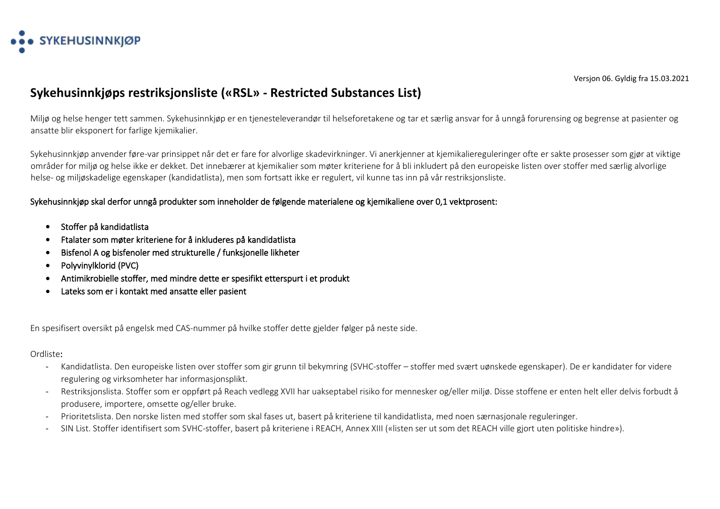

## **Sykehusinnkjøps restriksjonsliste («RSL» - Restricted Substances List)**

Miljø og helse henger tett sammen. Sykehusinnkjøp er en tjenesteleverandør til helseforetakene og tar et særlig ansvar for å unngå forurensing og begrense at pasienter og ansatte blir eksponert for farlige kjemikalier.

Sykehusinnkjøp anvender føre-var prinsippet når det er fare for alvorlige skadevirkninger. Vi anerkjenner at kjemikaliereguleringer ofte er sakte prosesser som gjør at viktige områder for miljø og helse ikke er dekket. Det innebærer at kjemikalier som møter kriteriene for å bli inkludert på den europeiske listen over stoffer med særlig alvorlige helse- og miljøskadelige egenskaper (kandidatlista), men som fortsatt ikke er regulert, vil kunne tas inn på vår restriksjonsliste.

## Sykehusinnkjøp skal derfor unngå produkter som inneholder de følgende materialene og kjemikaliene over 0,1 vektprosent:

- Stoffer på kandidatlista
- Ftalater som møter kriteriene for å inkluderes på kandidatlista
- Bisfenol A og bisfenoler med strukturelle / funksjonelle likheter
- Polyvinylklorid (PVC)
- Antimikrobielle stoffer, med mindre dette er spesifikt etterspurt i et produkt
- Lateks som er i kontakt med ansatte eller pasient

En spesifisert oversikt på engelsk med CAS-nummer på hvilke stoffer dette gjelder følger på neste side.

## Ordliste:

- Kandidatlista. Den europeiske listen over stoffer som gir grunn til bekymring (SVHC-stoffer stoffer med svært uønskede egenskaper). De er kandidater for videre regulering og virksomheter har informasjonsplikt.
- Restriksjonslista. Stoffer som er oppført på Reach vedlegg XVII har uakseptabel risiko for mennesker og/eller miljø. Disse stoffene er enten helt eller delvis forbudt å produsere, importere, omsette og/eller bruke.
- Prioritetslista. Den norske listen med stoffer som skal fases ut, basert på kriteriene til kandidatlista, med noen særnasjonale reguleringer.
- SIN List. Stoffer identifisert som SVHC-stoffer, basert på kriteriene i REACH, Annex XIII («listen ser ut som det REACH ville gjort uten politiske hindre»).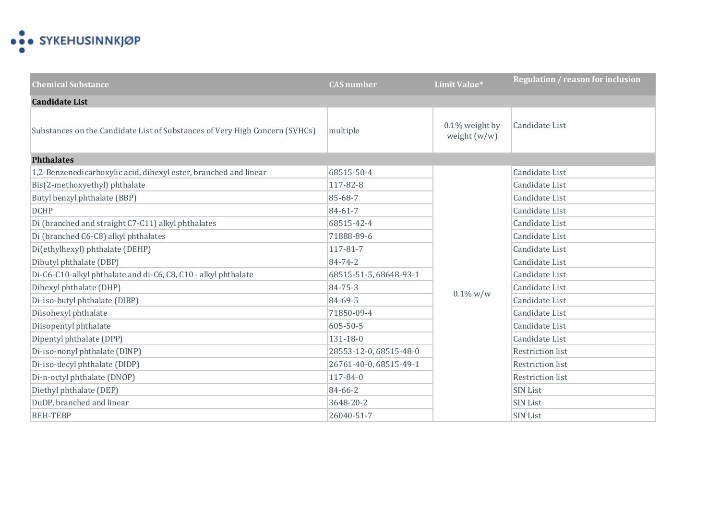

| <b>Chemical Substance</b>                                                   | <b>CAS</b> number      | Limit Value*                     | <b>Regulation / reason for inclusion</b> |
|-----------------------------------------------------------------------------|------------------------|----------------------------------|------------------------------------------|
| <b>Candidate List</b>                                                       |                        |                                  |                                          |
| Substances on the Candidate List of Substances of Very High Concern (SVHCs) | multiple               | 0.1% weight by<br>weight $(w/w)$ | Candidate List                           |
| <b>Phthalates</b>                                                           |                        |                                  |                                          |
| 1,2-Benzenedicarboxylic acid, dihexyl ester, branched and linear            | 68515-50-4             |                                  | Candidate List                           |
| Bis(2-methoxyethyl) phthalate                                               | 117-82-8               |                                  | Candidate List                           |
| Butyl benzyl phthalate (BBP)                                                | 85-68-7                |                                  | Candidate List                           |
| <b>DCHP</b>                                                                 | 84-61-7                |                                  | Candidate List                           |
| Di (branched and straight C7-C11) alkyl phthalates                          | 68515-42-4             |                                  | Candidate List                           |
| Di (branched C6-C8) alkyl phthalates                                        | 71888-89-6             | $0.1\%$ w/w                      | Candidate List                           |
| Di(ethylhexyl) phthalate (DEHP)                                             | 117-81-7               |                                  | Candidate List                           |
| Dibutyl phthalate (DBP)                                                     | 84-74-2                |                                  | Candidate List                           |
| Di-C6-C10-alkyl phthalate and di-C6, C8, C10 - alkyl phthalate              | 68515-51-5, 68648-93-1 |                                  | Candidate List                           |
| Dihexyl phthalate (DHP)                                                     | 84-75-3                |                                  | Candidate List                           |
| Di-iso-butyl phthalate (DIBP)                                               | 84-69-5                |                                  | Candidate List                           |
| Diisohexyl phthalate                                                        | 71850-09-4             |                                  | Candidate List                           |
| Diisopentyl phthalate                                                       | 605-50-5               |                                  | Candidate List                           |
| Dipentyl phthalate (DPP)                                                    | $131 - 18 - 0$         |                                  | Candidate List                           |
| Di-iso-nonyl phthalate (DINP)                                               | 28553-12-0, 68515-48-0 |                                  | <b>Restriction list</b>                  |
| Di-iso-decyl phthalate (DIDP)                                               | 26761-40-0, 68515-49-1 |                                  | <b>Restriction list</b>                  |
| Di-n-octyl phthalate (DNOP)                                                 | 117-84-0               |                                  | Restriction list                         |
| Diethyl phthalate (DEP)                                                     | 84-66-2                |                                  | SIN List                                 |
| DuDP, branched and linear                                                   | 3648-20-2              |                                  | <b>SIN List</b>                          |
| <b>BEH-TEBP</b>                                                             | 26040-51-7             |                                  | <b>SIN List</b>                          |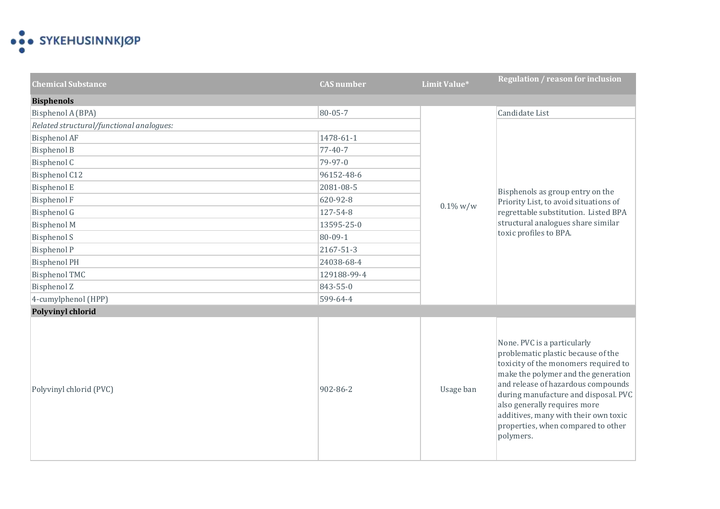

| <b>Chemical Substance</b>                | <b>CAS</b> number | Limit Value* | <b>Regulation / reason for inclusion</b>                                                                                                                                                                                                                                                                                                                  |
|------------------------------------------|-------------------|--------------|-----------------------------------------------------------------------------------------------------------------------------------------------------------------------------------------------------------------------------------------------------------------------------------------------------------------------------------------------------------|
| <b>Bisphenols</b>                        |                   |              |                                                                                                                                                                                                                                                                                                                                                           |
| Bisphenol A (BPA)                        | 80-05-7           |              | Candidate List                                                                                                                                                                                                                                                                                                                                            |
| Related structural/functional analogues: |                   |              | Bisphenols as group entry on the                                                                                                                                                                                                                                                                                                                          |
| <b>Bisphenol AF</b>                      | 1478-61-1         |              |                                                                                                                                                                                                                                                                                                                                                           |
| <b>Bisphenol B</b>                       | 77-40-7           |              |                                                                                                                                                                                                                                                                                                                                                           |
| Bisphenol C                              | 79-97-0           |              |                                                                                                                                                                                                                                                                                                                                                           |
| Bisphenol C12                            | 96152-48-6        |              |                                                                                                                                                                                                                                                                                                                                                           |
| <b>Bisphenol E</b>                       | 2081-08-5         |              |                                                                                                                                                                                                                                                                                                                                                           |
| <b>Bisphenol F</b>                       | 620-92-8          | $0.1\%$ w/w  | Priority List, to avoid situations of                                                                                                                                                                                                                                                                                                                     |
| Bisphenol G                              | 127-54-8          |              | regrettable substitution. Listed BPA<br>structural analogues share similar<br>toxic profiles to BPA.                                                                                                                                                                                                                                                      |
| <b>Bisphenol M</b>                       | 13595-25-0        |              |                                                                                                                                                                                                                                                                                                                                                           |
| <b>Bisphenol S</b>                       | 80-09-1           |              |                                                                                                                                                                                                                                                                                                                                                           |
| <b>Bisphenol P</b>                       | 2167-51-3         |              |                                                                                                                                                                                                                                                                                                                                                           |
| <b>Bisphenol PH</b>                      | 24038-68-4        |              |                                                                                                                                                                                                                                                                                                                                                           |
| <b>Bisphenol TMC</b>                     | 129188-99-4       |              |                                                                                                                                                                                                                                                                                                                                                           |
| <b>Bisphenol Z</b>                       | 843-55-0          |              |                                                                                                                                                                                                                                                                                                                                                           |
| 4-cumylphenol (HPP)                      | 599-64-4          |              |                                                                                                                                                                                                                                                                                                                                                           |
| <b>Polyvinyl chlorid</b>                 |                   |              |                                                                                                                                                                                                                                                                                                                                                           |
| Polyvinyl chlorid (PVC)                  | 902-86-2          | Usage ban    | None. PVC is a particularly<br>problematic plastic because of the<br>toxicity of the monomers required to<br>make the polymer and the generation<br>and release of hazardous compounds<br>during manufacture and disposal. PVC<br>also generally requires more<br>additives, many with their own toxic<br>properties, when compared to other<br>polymers. |